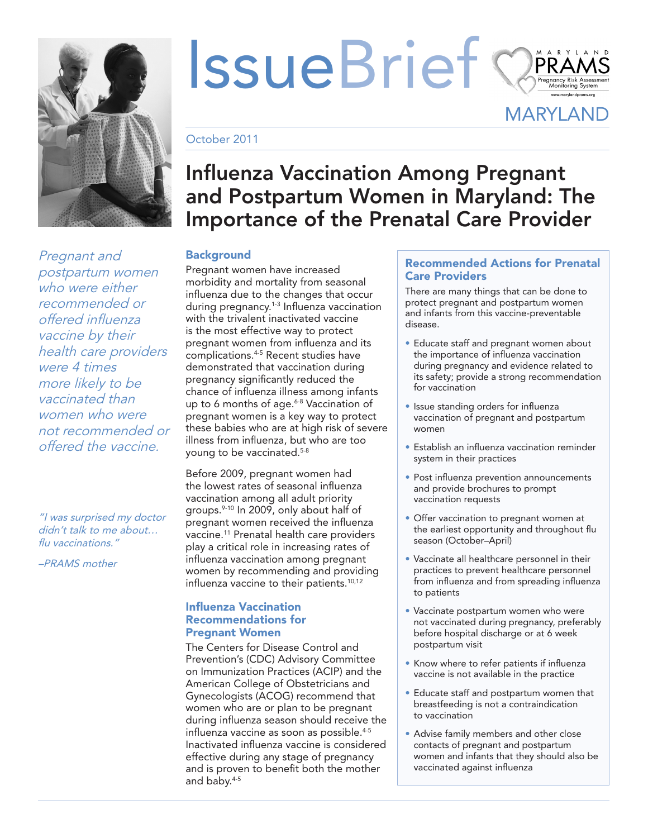

*Pregnant and postpartum women who were either recommended or offered influenza vaccine by their health care providers were 4 times more likely to be vaccinated than women who were not recommended or offered the vaccine.*

*"I was surprised my doctor didn't talk to me about… flu vaccinations."*

*–PRAMS mother*

# IssueBrief

**MARYLAND** 

October 2011

## Influenza Vaccination Among Pregnant and Postpartum Women in Maryland: The Importance of the Prenatal Care Provider

### **Background**

Pregnant women have increased morbidity and mortality from seasonal influenza due to the changes that occur during pregnancy.<sup>1-3</sup> Influenza vaccination with the trivalent inactivated vaccine is the most effective way to protect pregnant women from influenza and its complications.<sup>4-5</sup> Recent studies have demonstrated that vaccination during pregnancy significantly reduced the chance of influenza illness among infants up to 6 months of age.<sup>6-8</sup> Vaccination of pregnant women is a key way to protect these babies who are at high risk of severe illness from influenza, but who are too young to be vaccinated.5-8

Before 2009, pregnant women had the lowest rates of seasonal influenza vaccination among all adult priority groups.<sup>9-10</sup> In 2009, only about half of pregnant women received the influenza vaccine.<sup>11</sup> Prenatal health care providers play a critical role in increasing rates of influenza vaccination among pregnant women by recommending and providing influenza vaccine to their patients.<sup>10,12</sup>

#### Influenza Vaccination Recommendations for Pregnant Women

The Centers for Disease Control and Prevention's (CDC) Advisory Committee on Immunization Practices (ACIP) and the American College of Obstetricians and Gynecologists (ACOG) recommend that women who are or plan to be pregnant during influenza season should receive the influenza vaccine as soon as possible.<sup>4-5</sup> Inactivated influenza vaccine is considered effective during any stage of pregnancy and is proven to benefit both the mother and baby.4-5

#### Recommended Actions for Prenatal Care Providers

There are many things that can be done to protect pregnant and postpartum women and infants from this vaccine-preventable disease.

- Educate staff and pregnant women about the importance of influenza vaccination during pregnancy and evidence related to its safety; provide a strong recommendation for vaccination
- Issue standing orders for influenza vaccination of pregnant and postpartum women
- Establish an influenza vaccination reminder system in their practices
- Post influenza prevention announcements and provide brochures to prompt vaccination requests
- Offer vaccination to pregnant women at the earliest opportunity and throughout flu season (October–April)
- Vaccinate all healthcare personnel in their practices to prevent healthcare personnel from influenza and from spreading influenza to patients
- Vaccinate postpartum women who were not vaccinated during pregnancy, preferably before hospital discharge or at 6 week postpartum visit
- Know where to refer patients if influenza vaccine is not available in the practice
- Educate staff and postpartum women that breastfeeding is not a contraindication to vaccination
- Advise family members and other close contacts of pregnant and postpartum women and infants that they should also be vaccinated against influenza